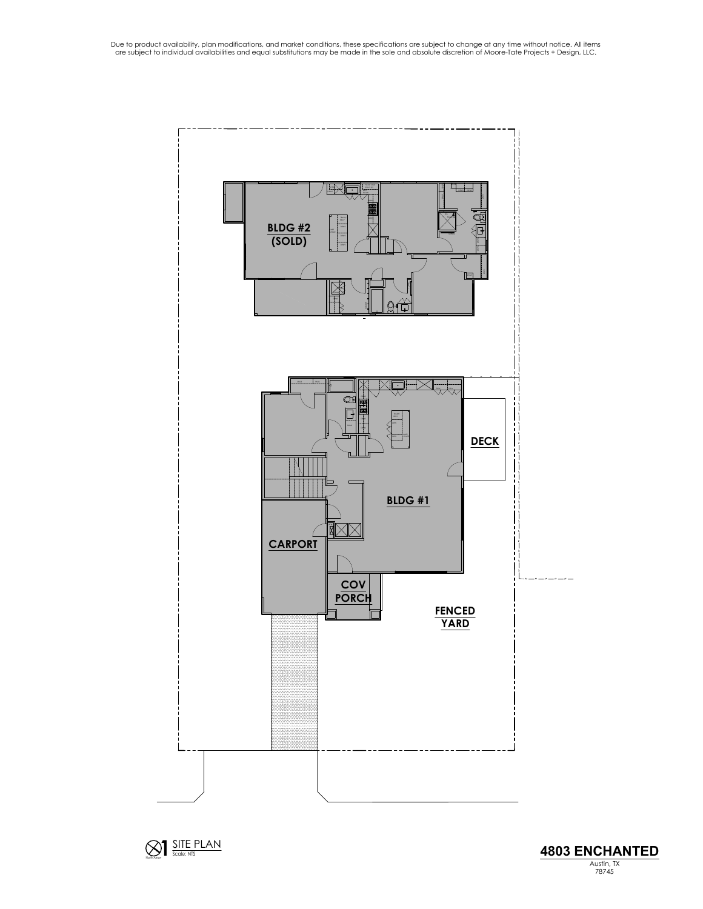



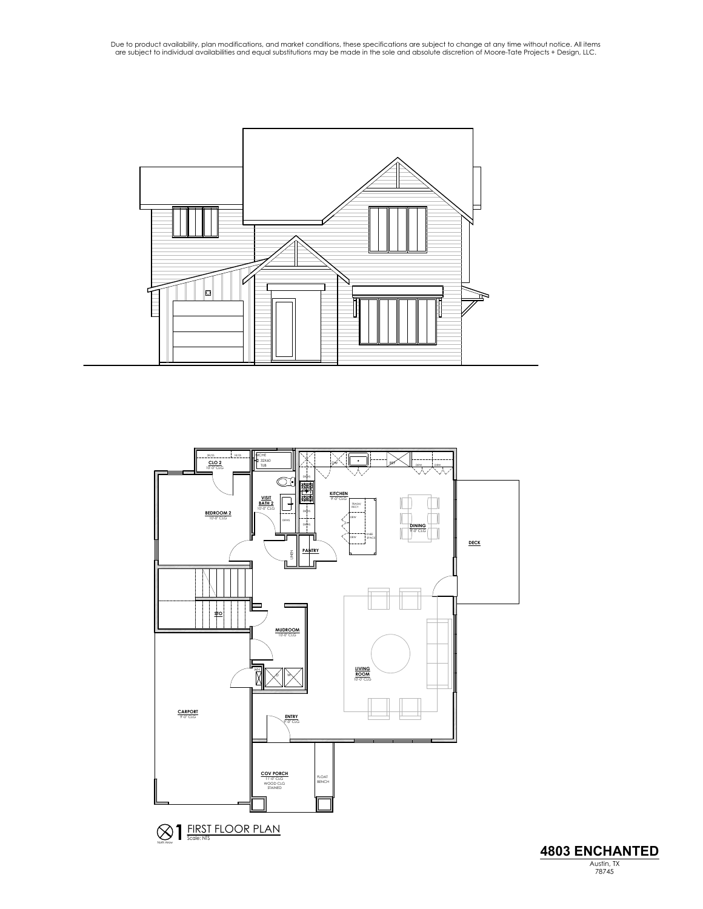



North Arrow



Due to product availability, plan modifications, and market conditions, these specifications are subject to change at any time without notice. All items<br>are subject to individual availabilities and equal substitutions may